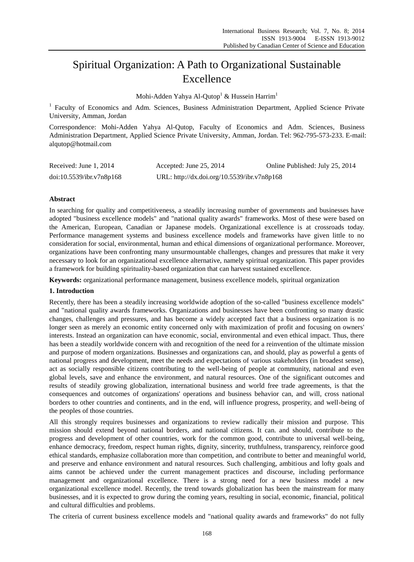# Spiritual Organization: A Path to Organizational Sustainable Excellence

Mohi-Adden Yahya Al-Qutop<sup>1</sup> & Hussein Harrim<sup>1</sup>

<sup>1</sup> Faculty of Economics and Adm. Sciences, Business Administration Department, Applied Science Private University, Amman, Jordan

Correspondence: Mohi-Adden Yahya Al-Qutop, Faculty of Economics and Adm. Sciences, Business Administration Department, Applied Science Private University, Amman, Jordan. Tel: 962-795-573-233. E-mail: alqutop@hotmail.com

| Received: June 1, 2014   | Accepted: June $25, 2014$                   | Online Published: July 25, 2014 |
|--------------------------|---------------------------------------------|---------------------------------|
| doi:10.5539/ibr.v7n8p168 | URL: http://dx.doi.org/10.5539/ibr.v7n8p168 |                                 |

## **Abstract**

In searching for quality and competitiveness, a steadily increasing number of governments and businesses have adopted "business excellence models" and "national quality awards" frameworks. Most of these were based on the American, European, Canadian or Japanese models. Organizational excellence is at crossroads today. Performance management systems and business excellence models and frameworks have given little to no consideration for social, environmental, human and ethical dimensions of organizational performance. Moreover, organizations have been confronting many unsurmountable challenges, changes and pressures that make it very necessary to look for an organizational excellence alternative, namely spiritual organization. This paper provides a framework for building spirituality-based organization that can harvest sustained excellence.

**Keywords:** organizational performance management, business excellence models, spiritual organization

## **1. Introduction**

Recently, there has been a steadily increasing worldwide adoption of the so-called "business excellence models" and "national quality awards frameworks. Organizations and businesses have been confronting so many drastic changes, challenges and pressures, and has become a widely accepted fact that a business organization is no longer seen as merely an economic entity concerned only with maximization of profit and focusing on owners' interests. Instead an organization can have economic, social, environmental and even ethical impact. Thus, there has been a steadily worldwide concern with and recognition of the need for a reinvention of the ultimate mission and purpose of modern organizations. Businesses and organizations can, and should, play as powerful a gents of national progress and development, meet the needs and expectations of various stakeholders (in broadest sense), act as socially responsible citizens contributing to the well-being of people at community, national and even global levels, save and enhance the environment, and natural resources. One of the significant outcomes and results of steadily growing globalization, international business and world free trade agreements, is that the consequences and outcomes of organizations' operations and business behavior can, and will, cross national borders to other countries and continents, and in the end, will influence progress, prosperity, and well-being of the peoples of those countries.

All this strongly requires businesses and organizations to review radically their mission and purpose. This mission should extend beyond national borders, and national citizens. It can. and should, contribute to the progress and development of other countries, work for the common good, contribute to universal well-being, enhance democracy, freedom, respect human rights, dignity, sincerity, truthfulness, transparency, reinforce good ethical standards, emphasize collaboration more than competition, and contribute to better and meaningful world, and preserve and enhance environment and natural resources. Such challenging, ambitious and lofty goals and aims cannot be achieved under the current management practices and discourse, including performance management and organizational excellence. There is a strong need for a new business model a new organizational excellence model. Recently, the trend towards globalization has been the mainstream for many businesses, and it is expected to grow during the coming years, resulting in social, economic, financial, political and cultural difficulties and problems.

The criteria of current business excellence models and "national quality awards and frameworks" do not fully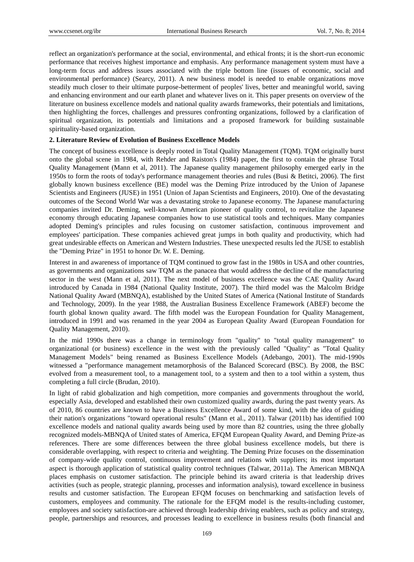reflect an organization's performance at the social, environmental, and ethical fronts; it is the short-run economic performance that receives highest importance and emphasis. Any performance management system must have a long-term focus and address issues associated with the triple bottom line (issues of economic, social and environmental performance) (Searcy, 2011). A new business model is needed to enable organizations move steadily much closer to their ultimate purpose-betterment of peoples' lives, better and meaningful world, saving and enhancing environment and our earth planet and whatever lives on it. This paper presents on overview of the literature on business excellence models and national quality awards frameworks, their potentials and limitations, then highlighting the forces, challenges and pressures confronting organizations, followed by a clarification of spiritual organization, its potentials and limitations and a proposed framework for building sustainable spirituality-based organization.

# **2. Literature Review of Evolution of Business Excellence Models**

The concept of business excellence is deeply rooted in Total Quality Management (TQM). TQM originally burst onto the global scene in 1984, with Rehder and Raiston's (1984) paper, the first to contain the phrase Total Quality Management (Mann et al, 2011). The Japanese quality management philosophy emerged early in the 1950s to form the roots of today's performance management theories and rules (Busi & Betitci, 2006). The first globally known business excellence (BE) model was the Deming Prize introduced by the Union of Japanese Scientists and Engineers (JUSE) in 1951 (Union of Japan Scientists and Engineers, 2010). One of the devastating outcomes of the Second World War was a devastating stroke to Japanese economy. The Japanese manufacturing companies invited Dr. Deming, well-known American pioneer of quality control, to revitalize the Japanese economy through educating Japanese companies how to use statistical tools and techniques. Many companies adopted Deming's principles and rules focusing on customer satisfaction, continuous improvement and employees' participation. These companies achieved great jumps in both quality and productivity, which had great undesirable effects on American and Western Industries. These unexpected results led the JUSE to establish the "Deming Prize" in 1951 to honor Dr. W. E. Deming.

Interest in and awareness of importance of TQM continued to grow fast in the 1980s in USA and other countries, as governments and organizations saw TQM as the panacea that would address the decline of the manufacturing sector in the west (Mann et al, 2011). The next model of business excellence was the CAE Quality Award introduced by Canada in 1984 (National Quality Institute, 2007). The third model was the Malcolm Bridge National Quality Award (MBNQA), established by the United States of America (National Institute of Standards and Technology, 2009). In the year 1988, the Australian Business Excellence Framework (ABEF) become the fourth global known quality award. The fifth model was the European Foundation for Quality Management, introduced in 1991 and was renamed in the year 2004 as European Quality Award (European Foundation for Quality Management, 2010).

In the mid 1990s there was a change in terminology from "quality" to "total quality management" to organizational (or business) excellence in the west with the previously called "Quality" as "Total Quality Management Models" being renamed as Business Excellence Models (Adebango, 2001). The mid-1990s witnessed a "performance management metamorphosis of the Balanced Scorecard (BSC). By 2008, the BSC evolved from a measurement tool, to a management tool, to a system and then to a tool within a system, thus completing a full circle (Brudan, 2010).

In light of rabid globalization and high competition, more companies and governments throughout the world, especially Asia, developed and established their own customized quality awards, during the past twenty years. As of 2010, 86 countries are known to have a Business Excellence Award of some kind, with the idea of guiding their nation's organizations "toward operational results" (Mann et al., 2011). Talwar (2011b) has identified 100 excellence models and national quality awards being used by more than 82 countries, using the three globally recognized models-MBNQA of United states of America, EFQM European Quality Award, and Deming Prize-as references. There are some differences between the three global business excellence models, but there is considerable overlapping, with respect to criteria and weighting. The Deming Prize focuses on the dissemination of company-wide quality control, continuous improvement and relations with suppliers; its most important aspect is thorough application of statistical quality control techniques (Talwar, 2011a). The American MBNQA places emphasis on customer satisfaction. The principle behind its award criteria is that leadership drives activities (such as people, strategic planning, processes and information analysis), toward excellence in business results and customer satisfaction. The European EFQM focuses on benchmarking and satisfaction levels of customers, employees and community. The rationale for the EFQM model is the results-including customer, employees and society satisfaction-are achieved through leadership driving enablers, such as policy and strategy, people, partnerships and resources, and processes leading to excellence in business results (both financial and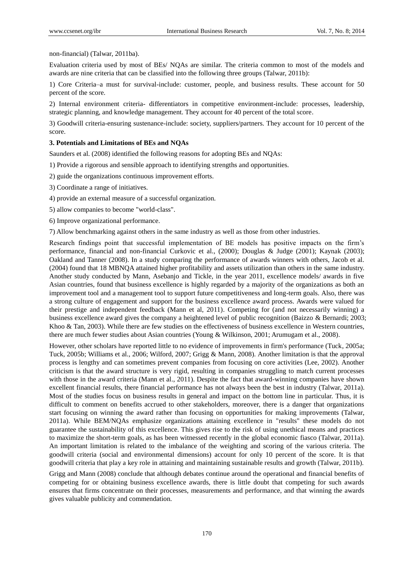non-financial) (Talwar, 2011ba).

Evaluation criteria used by most of BEs/ NQAs are similar. The criteria common to most of the models and awards are nine criteria that can be classified into the following three groups (Talwar, 2011b):

1) Core Criteria–a must for survival-include: customer, people, and business results. These account for 50 percent of the score.

2) Internal environment criteria- differentiators in competitive environment-include: processes, leadership, strategic planning, and knowledge management. They account for 40 percent of the total score.

3) Goodwill criteria-ensuring sustenance-include: society, suppliers/partners. They account for 10 percent of the score.

# **3. Potentials and Limitations of BEs and NQAs**

Saunders et al. (2008) identified the following reasons for adopting BEs and NQAs:

- 1) Provide a rigorous and sensible approach to identifying strengths and opportunities.
- 2) guide the organizations continuous improvement efforts.
- 3) Coordinate a range of initiatives.
- 4) provide an external measure of a successful organization.
- 5) allow companies to become "world-class".
- 6) Improve organizational performance.

7) Allow benchmarking against others in the same industry as well as those from other industries.

Research findings point that successful implementation of BE models has positive impacts on the firm's performance, financial and non-financial Curkovic et al., (2000); Douglas & Judge (2001); Kaynak (2003); Oakland and Tanner (2008). In a study comparing the performance of awards winners with others, Jacob et al. (2004) found that 18 MBNQA attained higher profitability and assets utilization than others in the same industry. Another study conducted by Mann, Asebanjo and Tickle, in the year 2011, excellence models/ awards in five Asian countries, found that business excellence is highly regarded by a majority of the organizations as both an improvement tool and a management tool to support future competitiveness and long-term goals. Also, there was a strong culture of engagement and support for the business excellence award process. Awards were valued for their prestige and independent feedback (Mann et al, 2011). Competing for (and not necessarily winning) a business excellence award gives the company a heightened level of public recognition (Baizzo & Bernardi; 2003; Khoo & Tan, 2003). While there are few studies on the effectiveness of business excellence in Western countries, there are much fewer studies about Asian countries (Young & Wilkinson, 2001; Arumugam et al., 2008).

However, other scholars have reported little to no evidence of improvements in firm's performance (Tuck, 2005a; Tuck, 2005b; Williams et al., 2006; Wilford, 2007; Grigg & Mann, 2008). Another limitation is that the approval process is lengthy and can sometimes prevent companies from focusing on core activities (Lee, 2002). Another criticism is that the award structure is very rigid, resulting in companies struggling to match current processes with those in the award criteria (Mann et al., 2011). Despite the fact that award-winning companies have shown excellent financial results, there financial performance has not always been the best in industry (Talwar, 2011a). Most of the studies focus on business results in general and impact on the bottom line in particular. Thus, it is difficult to comment on benefits accrued to other stakeholders, moreover, there is a danger that organizations start focusing on winning the award rather than focusing on opportunities for making improvements (Talwar, 2011a). While BEM/NQAs emphasize organizations attaining excellence in "results" these models do not guarantee the sustainability of this excellence. This gives rise to the risk of using unethical means and practices to maximize the short-term goals, as has been witnessed recently in the global economic fiasco (Talwar, 2011a). An important limitation is related to the imbalance of the weighting and scoring of the various criteria. The goodwill criteria (social and environmental dimensions) account for only 10 percent of the score. It is that goodwill criteria that play a key role in attaining and maintaining sustainable results and growth (Talwar, 2011b).

Grigg and Mann (2008) conclude that although debates continue around the operational and financial benefits of competing for or obtaining business excellence awards, there is little doubt that competing for such awards ensures that firms concentrate on their processes, measurements and performance, and that winning the awards gives valuable publicity and commendation.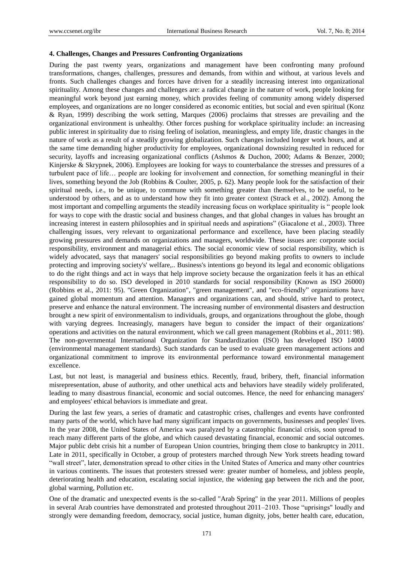#### **4. Challenges, Changes and Pressures Confronting Organizations**

During the past twenty years, organizations and management have been confronting many profound transformations, changes, challenges, pressures and demands, from within and without, at various levels and fronts. Such challenges changes and forces have driven for a steadily increasing interest into organizational spirituality. Among these changes and challenges are: a radical change in the nature of work, people looking for meaningful work beyond just earning money, which provides feeling of community among widely dispersed employees, and organizations are no longer considered as economic entities, but social and even spiritual (Konz & Ryan, 1999) describing the work setting, Marques (2006) proclaims that stresses are prevailing and the organizational environment is unhealthy. Other forces pushing for workplace spirituality include: an increasing public interest in spirituality due to rising feeling of isolation, meaningless, and empty life, drastic changes in the nature of work as a result of a steadily growing globalization. Such changes included longer work hours, and at the same time demanding higher productivity for employees, organizational downsizing resulted in reduced for security, layoffs and increasing organizational conflicts (Ashmos & Duchon, 2000; Adams & Benzer, 2000; Kinjerske & Skrypnek, 2006). Employees are looking for ways to counterbalance the stresses and pressures of a turbulent pace of life… people are looking for involvement and connection, for something meaningful in their lives, something beyond the Job (Robbins & Coulter, 2005, p. 62). Many people look for the satisfaction of their spiritual needs, i.e., to be unique, to commune with something greater than themselves, to be useful, to be understood by others, and as to understand how they fit into greater context (Strack et al., 2002). Among the most important and compelling arguments the steadily increasing focus on workplace spirituality is " people look for ways to cope with the drastic social and business changes, and that global changes in values has brought an increasing interest in eastern philosophies and in spiritual needs and aspirations" (Giacalone et al., 2003). Three challenging issues, very relevant to organizational performance and excellence, have been placing steadily growing pressures and demands on organizations and managers, worldwide. These issues are: corporate social responsibility, environment and managerial ethics. The social economic view of social responsibility, which is widely advocated, says that managers' social responsibilities go beyond making profits to owners to include protecting and improving society's' welfare,.. Business's intentions go beyond its legal and economic obligations to do the right things and act in ways that help improve society because the organization feels it has an ethical responsibility to do so. ISO developed in 2010 standards for social responsibility (Known as ISO 26000) (Robbins et al., 2011: 95). "Green Organization", "green management", and "eco-friendly" organizations have gained global momentum and attention. Managers and organizations can, and should, strive hard to protect, preserve and enhance the natural environment. The increasing number of environmental disasters and destruction brought a new spirit of environmentalism to individuals, groups, and organizations throughout the globe, though with varying degrees. Increasingly, managers have begun to consider the impact of their organizations' operations and activities on the natural environment, which we call green management (Robbins et al., 2011: 98). The non-governmental International Organization for Standardization (ISO) has developed ISO 14000 (environmental management standards). Such standards can be used to evaluate green management actions and organizational commitment to improve its environmental performance toward environmental management excellence.

Last, but not least, is managerial and business ethics. Recently, fraud, bribery, theft, financial information misrepresentation, abuse of authority, and other unethical acts and behaviors have steadily widely proliferated, leading to many disastrous financial, economic and social outcomes. Hence, the need for enhancing managers' and employees' ethical behaviors is immediate and great.

During the last few years, a series of dramatic and catastrophic crises, challenges and events have confronted many parts of the world, which have had many significant impacts on governments, businesses and peoples' lives. In the year 2008, the United States of America was paralyzed by a catastrophic financial crisis, soon spread to reach many different parts of the globe, and which caused devastating financial, economic and social outcomes. Major public debt crisis hit a number of European Union countries, bringing them close to bankruptcy in 2011. Late in 2011, specifically in October, a group of protesters marched through New York streets heading toward "wall street", later, demonstration spread to other cities in the United States of America and many other countries in various continents. The issues that protesters stressed were: greater number of homeless, and jobless people, deteriorating health and education, escalating social injustice, the widening gap between the rich and the poor, global warming, Pollution etc.

One of the dramatic and unexpected events is the so-called "Arab Spring" in the year 2011. Millions of peoples in several Arab countries have demonstrated and protested throughout 2011–2103. Those "uprisings" loudly and strongly were demanding freedom, democracy, social justice, human dignity, jobs, better health care, education,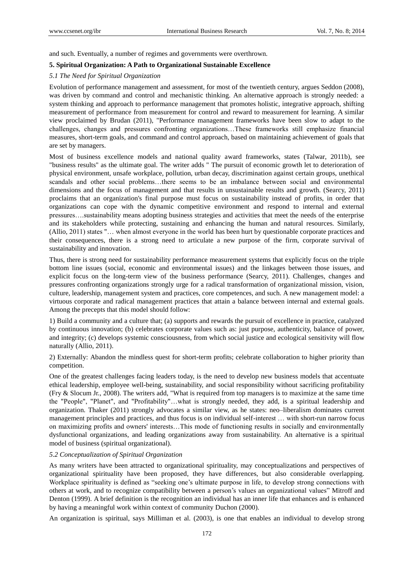and such. Eventually, a number of regimes and governments were overthrown.

## **5. Spiritual Organization: A Path to Organizational Sustainable Excellence**

## *5.1 The Need for Spiritual Organization*

Evolution of performance management and assessment, for most of the twentieth century, argues Seddon (2008), was driven by command and control and mechanistic thinking. An alternative approach is strongly needed: a system thinking and approach to performance management that promotes holistic, integrative approach, shifting measurement of performance from measurement for control and reward to measurement for learning. A similar view proclaimed by Brudan (2011), "Performance management frameworks have been slow to adapt to the challenges, changes and pressures confronting organizations…These frameworks still emphasize financial measures, short-term goals, and command and control approach, based on maintaining achievement of goals that are set by managers.

Most of business excellence models and national quality award frameworks, states (Talwar, 2011b), see "business results" as the ultimate goal. The writer adds " The pursuit of economic growth let to deterioration of physical environment, unsafe workplace, pollution, urban decay, discrimination against certain groups, unethical scandals and other social problems…there seems to be an imbalance between social and environmental dimensions and the focus of management and that results in unsustainable results and growth. (Searcy, 2011) proclaims that an organization's final purpose must focus on sustainability instead of profits, in order that organizations can cope with the dynamic competitive environment and respond to internal and external pressures….sustainability means adopting business strategies and activities that meet the needs of the enterprise and its stakeholders while protecting, sustaining and enhancing the human and natural resources. Similarly, (Allio, 2011) states "… when almost everyone in the world has been hurt by questionable corporate practices and their consequences, there is a strong need to articulate a new purpose of the firm, corporate survival of sustainability and innovation.

Thus, there is strong need for sustainability performance measurement systems that explicitly focus on the triple bottom line issues (social, economic and environmental issues) and the linkages between those issues, and explicit focus on the long-term view of the business performance (Searcy, 2011). Challenges, changes and pressures confronting organizations strongly urge for a radical transformation of organizational mission, vision, culture, leadership, management system and practices, core competences, and such. A new management model: a virtuous corporate and radical management practices that attain a balance between internal and external goals. Among the precepts that this model should follow:

1) Build a community and a culture that; (a) supports and rewards the pursuit of excellence in practice, catalyzed by continuous innovation; (b) celebrates corporate values such as: just purpose, authenticity, balance of power, and integrity; (c) develops systemic consciousness, from which social justice and ecological sensitivity will flow naturally (Allio, 2011).

2) Externally: Abandon the mindless quest for short-term profits; celebrate collaboration to higher priority than competition.

One of the greatest challenges facing leaders today, is the need to develop new business models that accentuate ethical leadership, employee well-being, sustainability, and social responsibility without sacrificing profitability (Fry & Slocum Jr., 2008). The writers add, "What is required from top managers is to maximize at the same time the "People", "Planet", and "Profitability"…what is strongly needed, they add, is a spiritual leadership and organization. Thaker (2011) strongly advocates a similar view, as he states: neo–liberalism dominates current management principles and practices, and thus focus is on individual self-interest … with short-run narrow focus on maximizing profits and owners' interests…This mode of functioning results in socially and environmentally dysfunctional organizations, and leading organizations away from sustainability. An alternative is a spiritual model of business (spiritual organizational).

## *5.2 Conceptualization of Spiritual Organization*

As many writers have been attracted to organizational spirituality, may conceptualizations and perspectives of organizational spirituality have been proposed, they have differences, but also considerable overlapping. Workplace spirituality is defined as "seeking one's ultimate purpose in life, to develop strong connections with others at work, and to recognize compatibility between a person's values an organizational values" Mitroff and Denton (1999). A brief definition is the recognition an individual has an inner life that enhances and is enhanced by having a meaningful work within context of community Duchon (2000).

An organization is spiritual, says Milliman et al. (2003), is one that enables an individual to develop strong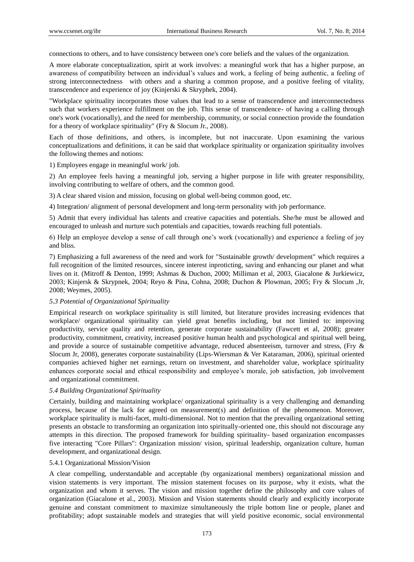connections to others, and to have consistency between one's core beliefs and the values of the organization.

A more elaborate conceptualization, spirit at work involves: a meaningful work that has a higher purpose, an awareness of compatibility between an individual's values and work, a feeling of being authentic, a feeling of strong interconnectedness with others and a sharing a common propose, and a positive feeling of vitality, transcendence and experience of joy (Kinjerski & Skryphek, 2004).

"Workplace spirituality incorporates those values that lead to a sense of transcendence and interconnectedness such that workers experience fulfillment on the job. This sense of transcendence- of having a calling through one's work (vocationally), and the need for membership, community, or social connection provide the foundation for a theory of workplace spirituality" (Fry & Slocum Jr., 2008).

Each of those definitions, and others, is incomplete, but not inaccurate. Upon examining the various conceptualizations and definitions, it can be said that workplace spirituality or organization spirituality involves the following themes and notions:

1) Employees engage in meaningful work/ job.

2) An employee feels having a meaningful job, serving a higher purpose in life with greater responsibility, involving contributing to welfare of others, and the common good.

3) A clear shared vision and mission, focusing on global well-being common good, etc.

4) Integration/ alignment of personal development and long-term personality with job performance.

5) Admit that every individual has talents and creative capacities and potentials. She/he must be allowed and encouraged to unleash and nurture such potentials and capacities, towards reaching full potentials.

6) Help an employee develop a sense of call through one's work (vocationally) and experience a feeling of joy and bliss.

7) Emphasizing a full awareness of the need and work for "Sustainable growth/ development" which requires a full recognition of the limited resources, sincere interest inproticting, saving and enhancing our planet and what lives on it. (Mitroff & Denton, 1999; Ashmas & Duchon, 2000; Milliman et al, 2003, Giacalone & Jurkiewicz, 2003; Kinjersk & Skrypnek, 2004; Reyo & Pina, Cohna, 2008; Duchon & Plowman, 2005; Fry & Slocum ,Jr, 2008; Weymes, 2005).

## *5.3 Potential of Organizational Spirituality*

Empirical research on workplace spirituality is still limited, but literature provides increasing evidences that workplace/ organizational spirituality can yield great benefits including, but not limited to: improving productivity, service quality and retention, generate corporate sustainability (Fawcett et al, 2008); greater productivity, commitment, creativity, increased positive human health and psychological and spiritual well being, and provide a source of sustainable competitive advantage, reduced absenteeism, turnover and stress, (Fry & Slocum Jr, 2008), generates corporate sustainability (Lips-Wiersman & Ver Kataraman, 2006), spiritual oriented companies achieved higher net earnings, return on investment, and shareholder value, workplace spirituality enhances corporate social and ethical responsibility and employee's morale, job satisfaction, job involvement and organizational commitment.

## *5.4 Building Organizational Spirituality*

Certainly, building and maintaining workplace/ organizational spirituality is a very challenging and demanding process, because of the lack for agreed on measurement(s) and definition of the phenomenon. Moreover, workplace spirituality is multi-facet, multi-dimensional. Not to mention that the prevailing organizational setting presents an obstacle to transforming an organization into spiritually-oriented one, this should not discourage any attempts in this direction. The proposed framework for building spirituality- based organization encompasses five interacting "Core Pillars": Organization mission/ vision, spiritual leadership, organization culture, human development, and organizational design.

## 5.4.1 Organizational Mission/Vision

A clear compelling, understandable and acceptable (by organizational members) organizational mission and vision statements is very important. The mission statement focuses on its purpose, why it exists, what the organization and whom it serves. The vision and mission together define the philosophy and core values of organization (Giacalone et al., 2003). Mission and Vision statements should clearly and explicitly incorporate genuine and constant commitment to maximize simultaneously the triple bottom line or people, planet and profitability; adopt sustainable models and strategies that will yield positive economic, social environmental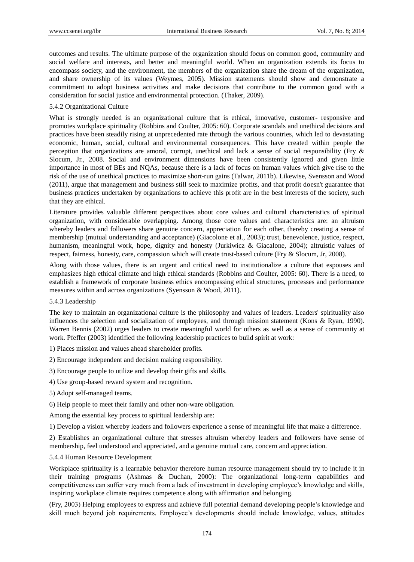outcomes and results. The ultimate purpose of the organization should focus on common good, community and social welfare and interests, and better and meaningful world. When an organization extends its focus to encompass society, and the environment, the members of the organization share the dream of the organization, and share ownership of its values (Weymes, 2005). Mission statements should show and demonstrate a commitment to adopt business activities and make decisions that contribute to the common good with a consideration for social justice and environmental protection. (Thaker, 2009).

## 5.4.2 Organizational Culture

What is strongly needed is an organizational culture that is ethical, innovative, customer- responsive and promotes workplace spirituality (Robbins and Coulter, 2005: 60). Corporate scandals and unethical decisions and practices have been steadily rising at unprecedented rate through the various countries, which led to devastating economic, human, social, cultural and environmental consequences. This have created within people the perception that organizations are amoral, corrupt, unethical and lack a sense of social responsibility (Fry & Slocum, Jr., 2008. Social and environment dimensions have been consistently ignored and given little importance in most of BEs and NQAs, because there is a lack of focus on human values which give rise to the risk of the use of unethical practices to maximize short-run gains (Talwar, 2011b). Likewise, Svensson and Wood (2011), argue that management and business still seek to maximize profits, and that profit doesn't guarantee that business practices undertaken by organizations to achieve this profit are in the best interests of the society, such that they are ethical.

Literature provides valuable different perspectives about core values and cultural characteristics of spiritual organization, with considerable overlapping. Among those core values and characteristics are: an altruism whereby leaders and followers share genuine concern, appreciation for each other, thereby creating a sense of membership (mutual understanding and acceptance) (Giacolone et al., 2003); trust, benevolence, justice, respect, humanism, meaningful work, hope, dignity and honesty (Jurkiwicz & Giacalone, 2004); altruistic values of respect, fairness, honesty, care, compassion which will create trust-based culture (Fry & Slocum, Jr, 2008).

Along with those values, there is an urgent and critical need to institutionalize a culture that espouses and emphasizes high ethical climate and high ethical standards (Robbins and Coulter, 2005: 60). There is a need, to establish a framework of corporate business ethics encompassing ethical structures, processes and performance measures within and across organizations (Syensson & Wood, 2011).

## 5.4.3 Leadership

The key to maintain an organizational culture is the philosophy and values of leaders. Leaders' spirituality also influences the selection and socialization of employees, and through mission statement (Kons & Ryan, 1990). Warren Bennis (2002) urges leaders to create meaningful world for others as well as a sense of community at work. Pfeffer (2003) identified the following leadership practices to build spirit at work:

1) Places mission and values ahead shareholder profits.

- 2) Encourage independent and decision making responsibility.
- 3) Encourage people to utilize and develop their gifts and skills.
- 4) Use group-based reward system and recognition.
- 5) Adopt self-managed teams.
- 6) Help people to meet their family and other non-ware obligation.

Among the essential key process to spiritual leadership are:

1) Develop a vision whereby leaders and followers experience a sense of meaningful life that make a difference.

2) Establishes an organizational culture that stresses altruism whereby leaders and followers have sense of membership, feel understood and appreciated, and a genuine mutual care, concern and appreciation.

## 5.4.4 Human Resource Development

Workplace spirituality is a learnable behavior therefore human resource management should try to include it in their training programs (Ashmas & Duchan, 2000): The organizational long-term capabilities and competitiveness can suffer very much from a lack of investment in developing employee's knowledge and skills, inspiring workplace climate requires competence along with affirmation and belonging.

(Fry, 2003) Helping employees to express and achieve full potential demand developing people's knowledge and skill much beyond job requirements. Employee's developments should include knowledge, values, attitudes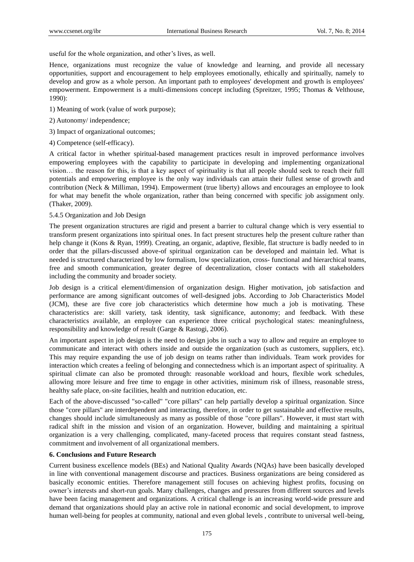useful for the whole organization, and other's lives, as well.

Hence, organizations must recognize the value of knowledge and learning, and provide all necessary opportunities, support and encouragement to help employees emotionally, ethically and spiritually, namely to develop and grow as a whole person. An important path to employees' development and growth is employees' empowerment. Empowerment is a multi-dimensions concept including (Spreitzer, 1995; Thomas & Velthouse, 1990):

- 1) Meaning of work (value of work purpose);
- 2) Autonomy/ independence;
- 3) Impact of organizational outcomes;
- 4) Competence (self-efficacy).

A critical factor in whether spiritual-based management practices result in improved performance involves empowering employees with the capability to participate in developing and implementing organizational vision… the reason for this, is that a key aspect of spirituality is that all people should seek to reach their full potentials and empowering employee is the only way individuals can attain their fullest sense of growth and contribution (Neck & Milliman, 1994). Empowerment (true liberty) allows and encourages an employee to look for what may benefit the whole organization, rather than being concerned with specific job assignment only. (Thaker, 2009).

## 5.4.5 Organization and Job Design

The present organization structures are rigid and present a barrier to cultural change which is very essential to transform present organizations into spiritual ones. In fact present structures help the present culture rather than help change it (Kons & Ryan, 1999). Creating, an organic, adaptive, flexible, flat structure is badly needed to in order that the pillars-discussed above-of spiritual organization can be developed and maintain led. What is needed is structured characterized by low formalism, low specialization, cross- functional and hierarchical teams, free and smooth communication, greater degree of decentralization, closer contacts with all stakeholders including the community and broader society.

Job design is a critical element/dimension of organization design. Higher motivation, job satisfaction and performance are among significant outcomes of well-designed jobs. According to Job Characteristics Model (JCM), these are five core job characteristics which determine how much a job is motivating. These characteristics are: skill variety, task identity, task significance, autonomy; and feedback. With these characteristics available, an employee can experience three critical psychological states: meaningfulness, responsibility and knowledge of result (Garge & Rastogi, 2006).

An important aspect in job design is the need to design jobs in such a way to allow and require an employee to communicate and interact with others inside and outside the organization (such as customers, suppliers, etc). This may require expanding the use of job design on teams rather than individuals. Team work provides for interaction which creates a feeling of belonging and connectedness which is an important aspect of spirituality. A spiritual climate can also be promoted through: reasonable workload and hours, flexible work schedules, allowing more leisure and free time to engage in other activities, minimum risk of illness, reasonable stress, healthy safe place, on-site facilities, health and nutrition education, etc.

Each of the above-discussed "so-called" "core pillars" can help partially develop a spiritual organization. Since those "core pillars" are interdependent and interacting, therefore, in order to get sustainable and effective results, changes should include simultaneously as many as possible of those "core pillars". However, it must start with radical shift in the mission and vision of an organization. However, building and maintaining a spiritual organization is a very challenging, complicated, many-faceted process that requires constant stead fastness, commitment and involvement of all organizational members.

## **6. Conclusions and Future Research**

Current business excellence models (BEs) and National Quality Awards (NQAs) have been basically developed in line with conventional management discourse and practices. Business organizations are being considered as basically economic entities. Therefore management still focuses on achieving highest profits, focusing on owner's interests and short-run goals. Many challenges, changes and pressures from different sources and levels have been facing management and organizations. A critical challenge is an increasing world-wide pressure and demand that organizations should play an active role in national economic and social development, to improve human well-being for peoples at community, national and even global levels , contribute to universal well-being,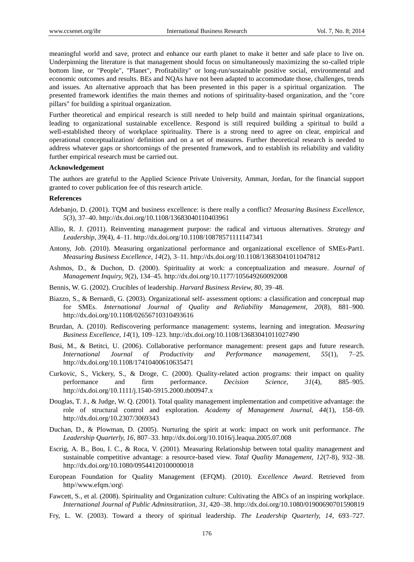meaningful world and save, protect and enhance our earth planet to make it better and safe place to live on. Underpinning the literature is that management should focus on simultaneously maximizing the so-called triple bottom line, or "People", "Planet", Profitability" or long-run/sustainable positive social, environmental and economic outcomes and results. BEs and NQAs have not been adapted to accommodate those, challenges, trends and issues. An alternative approach that has been presented in this paper is a spiritual organization. The presented framework identifies the main themes and notions of spirituality-based organization, and the "core pillars" for building a spiritual organization.

Further theoretical and empirical research is still needed to help build and maintain spiritual organizations, leading to organizational sustainable excellence. Respond is still required building a spiritual to build a well-established theory of workplace spirituality. There is a strong need to agree on clear, empirical and operational conceptualization/ definition and on a set of measures. Further theoretical research is needed to address whatever gaps or shortcomings of the presented framework, and to establish its reliability and validity further empirical research must be carried out.

#### **Acknowledgement**

The authors are grateful to the Applied Science Private University, Amman, Jordan, for the financial support granted to cover publication fee of this research article.

## **References**

- Adebanjo, D. (2001). TQM and business excellence: is there really a conflict? *Measuring Business Excellence, 5*(3), 37–40. http://dx.doi.org/10.1108/13683040110403961
- Allio, R. J. (2011). Reinventing management purpose: the radical and virtuous alternatives. *Strategy and Leadership, 39*(4), 4–11. http://dx.doi.org/10.1108/10878571111147341
- Antony, Job. (2010). Measuring organizational performance and organizational excellence of SMEs-Part1. *Measuring Business Excellence, 14*(2), 3–11. http://dx.doi.org/10.1108/13683041011047812
- Ashmos, D., & Duchon, D. (2000). Spirituality at work: a conceptualization and measure. *Journal of Management Inquiry, 9*(2), 134–45. http://dx.doi.org/10.1177/105649260092008
- Bennis, W. G. (2002). Crucibles of leadership. *Harvard Business Review, 80*, 39–48.
- Biazzo, S., & Bernardi, G. (2003). Organizational self- assessment options: a classification and conceptual map for SMEs. *International Journal of Quality and Reliability Management, 20*(8), 881–900. http://dx.doi.org/10.1108/02656710310493616
- Brurdan, A. (2010). Rediscovering performance management: systems, learning and integration. *Measuring Business Excellence, 14*(1), 109–123. http://dx.doi.org/10.1108/13683041011027490
- Busi, M., & Betitci, U. (2006). Collaborative performance management: present gaps and future research. *International Journal of Productivity and Performance management, 55*(1), 7–25. http://dx.doi.org/10.1108/17410400610635471
- Curkovic, S., Vickery, S., & Droge, C. (2000). Quality-related action programs: their impact on quality performance and firm performance. *Decision Science, 31*(4), 885–905. http://dx.doi.org/10.1111/j.1540-5915.2000.tb00947.x
- Douglas, T. J., & Judge, W. Q. (2001). Total quality management implementation and competitive advantage: the role of structural control and exploration. *Academy of Management Journal, 44*(1), 158–69. http://dx.doi.org/10.2307/3069343
- Duchan, D., & Plowman, D. (2005). Nurturing the spirit at work: impact on work unit performance. *The Leadership Quarterly, 16*, 807–33. http://dx.doi.org/10.1016/j.leaqua.2005.07.008
- Escrig, A. B., Bou, I. C., & Roca, V. (2001). Measuring Relationship between total quality management and sustainable competitive advantage: a resource-based view. *Total Quality Management, 12*(7-8), 932–38. http://dx.doi.org/10.1080/09544120100000018
- European Foundation for Quality Management (EFQM). (2010). *Excellence Award*. Retrieved from http//www.efqm.\org\
- Fawcett, S., et al. (2008). Spirituality and Organization culture: Cultivating the ABCs of an inspiring workplace. *International Journal of Public Adminsitratiion, 31*, 420–38. http://dx.doi.org/10.1080/01900690701590819
- Fry, L. W. (2003). Toward a theory of spiritual leadership. *The Leadership Quarterly, 14*, 693–727.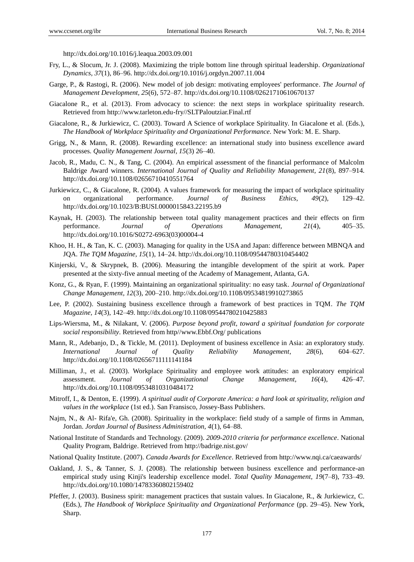http://dx.doi.org/10.1016/j.leaqua.2003.09.001

- Fry, L., & Slocum, Jr. J. (2008). Maximizing the triple bottom line through spiritual leadership. *Organizational Dynamics, 37*(1), 86–96. http://dx.doi.org/10.1016/j.orgdyn.2007.11.004
- Garge, P., & Rastogi, R. (2006). New model of job design: motivating employees' performance. *The Journal of Management Development, 25*(6), 572–87. http://dx.doi.org/10.1108/02621710610670137
- Giacalone R., et al. (2013). From advocacy to science: the next steps in workplace spirituality research. Retrieved from http://www.tarleton.edu-fry//SLTPaloutziar.Final.rtf
- Giacalone, R., & Jurkiewicz, C. (2003). Toward A Science of workplace Spirituality. In Giacalone et al. (Eds.), *The Handbook of Workplace Spirituality and Organizational Performance.* New York: M. E. Sharp.
- Grigg, N., & Mann, R. (2008). Rewarding excellence: an international study into business excellence award processes. *Quality Management Journal, 15*(3) 26–40.
- Jacob, R., Madu, C. N., & Tang, C. (2004). An empirical assessment of the financial performance of Malcolm Baldrige Award winners. *International Journal of Quality and Reliability Management, 21*(8), 897–914. http://dx.doi.org/10.1108/02656710410551764
- Jurkiewicz, C., & Giacalone, R. (2004). A values framework for measuring the impact of workplace spirituality on organizational performance. *Journal of Business Ethics, 49*(2), 129–42. http://dx.doi.org/10.1023/B:BUSI.0000015843.22195.b9
- Kaynak, H. (2003). The relationship between total quality management practices and their effects on firm performance. *Journal of Operations Management, 21*(4), 405–35. http://dx.doi.org/10.1016/S0272-6963(03)00004-4
- Khoo, H. H., & Tan, K. C. (2003). Managing for quality in the USA and Japan: difference between MBNQA and JQA. *The TQM Magazine, 15*(1), 14–24. http://dx.doi.org/10.1108/09544780310454402
- Kinjerski, V., & Skrypnek, B. (2006). Measuring the intangible development of the spirit at work. Paper presented at the sixty-five annual meeting of the Academy of Management, Atlanta, GA.
- Konz, G., & Ryan, F. (1999). Maintaining an organizational spirituality: no easy task. *Journal of Organizational Change Management, 12*(3), 200–210. http://dx.doi.org/10.1108/09534819910273865
- Lee, P. (2002). Sustaining business excellence through a framework of best practices in TQM. *The TQM Magazine, 14*(3), 142–49. http://dx.doi.org/10.1108/09544780210425883
- Lips-Wiersma, M., & Nilakant, V. (2006). *Purpose beyond profit, toward a spiritual foundation for corporate social responsibility*. Retrieved from http//www.Ebbf.Org/ publications
- Mann, R., Adebanjo, D., & Tickle, M. (2011). Deployment of business excellence in Asia: an exploratory study. *International Journal of Quality Reliability Management, 28*(6), 604–627. http://dx.doi.org/10.1108/02656711111141184
- Milliman, J., et al. (2003). Workplace Spirituality and employee work attitudes: an exploratory empirical assessment. *Journal of Organizational Change Management, 16*(4), 426–47. http://dx.doi.org/10.1108/09534810310484172
- Mitroff, I., & Denton, E. (1999). *A spiritual audit of Corporate America: a hard look at spirituality, religion and values in the workplace* (1st ed.). San Fransisco, Jossey-Bass Publishers.
- Najm, N., & Al- Rifa'e, Gh. (2008). Spirituality in the workplace: field study of a sample of firms in Amman, Jordan. *Jordan Journal of Business Administration, 4*(1), 64–88.
- National Institute of Standards and Technology. (2009). *2009-2010 criteria for performance excellence*. National Quality Program, Baldrige. Retrieved from http://badrige.nist.gov/
- National Quality Institute. (2007). *Canada Awards for Excellence*. Retrieved from http://www.nqi.ca/caeawards/
- Oakland, J. S., & Tanner, S. J. (2008). The relationship between business excellence and performance-an empirical study using Kinji's leadership excellence model. *Total Quality Management, 19*(7–8), 733–49. http://dx.doi.org/10.1080/14783360802159402
- Pfeffer, J. (2003). Business spirit: management practices that sustain values. In Giacalone, R., & Jurkiewicz, C. (Eds.), *The Handbook of Workplace Spirituality and Organizational Performance* (pp. 29–45). New York, Sharp.